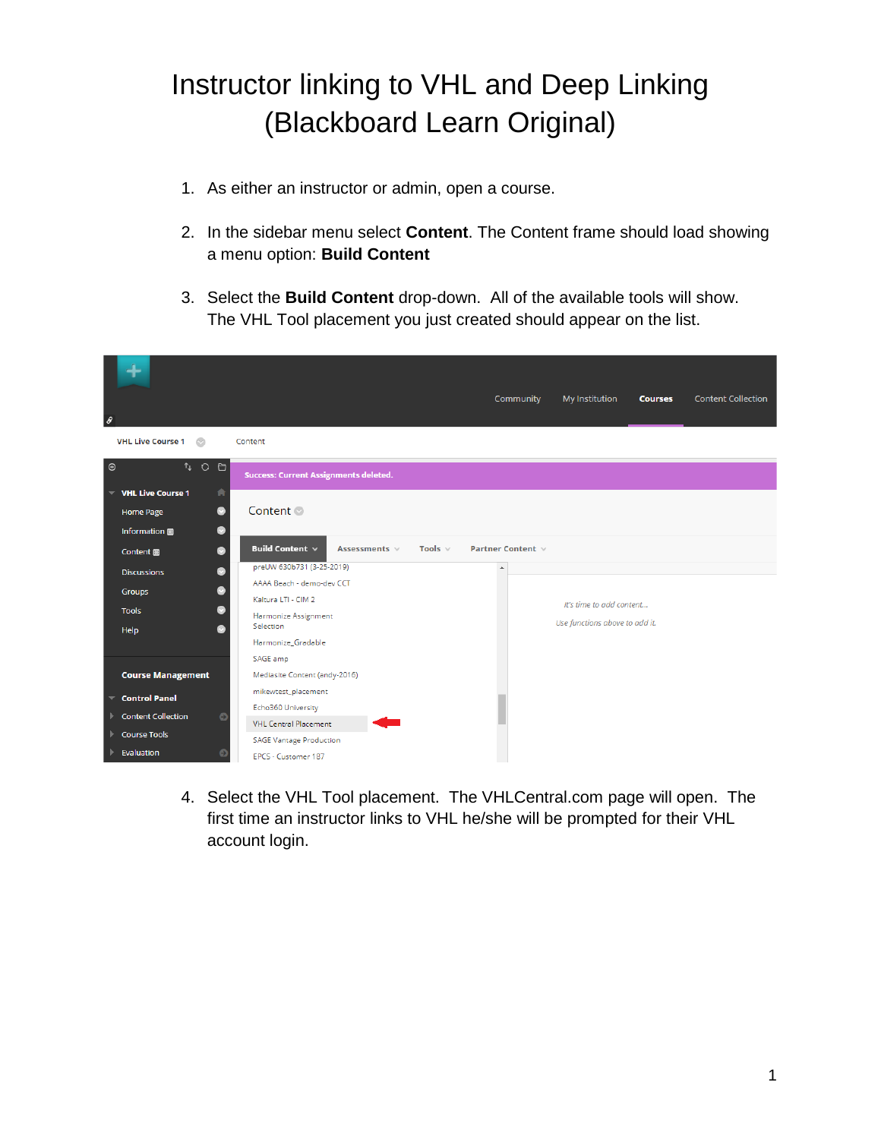# Instructor linking to VHL and Deep Linking (Blackboard Learn Original)

- 1. As either an instructor or admin, open a course.
- 2. In the sidebar menu select **Content**. The Content frame should load showing a menu option: **Build Content**
- 3. Select the **Build Content** drop-down. All of the available tools will show. The VHL Tool placement you just created should appear on the list.

| $\theta$                                                                                               |                                                                                         | Community                                  | My Institution                 | <b>Courses</b> | <b>Content Collection</b> |
|--------------------------------------------------------------------------------------------------------|-----------------------------------------------------------------------------------------|--------------------------------------------|--------------------------------|----------------|---------------------------|
| <b>VHL Live Course 1</b><br>$\circ$                                                                    | Content                                                                                 |                                            |                                |                |                           |
| $T+O$ D<br>$\boldsymbol{\oplus}$                                                                       | <b>Success: Current Assignments deleted.</b>                                            |                                            |                                |                |                           |
| $\overline{\phantom{a}}$ VHL Live Course 1<br>合<br>$\bullet$<br><b>Home Page</b><br>Information 圖<br>o | Content <sup>®</sup>                                                                    |                                            |                                |                |                           |
| O<br>Content <b>B</b><br>$\sim$                                                                        | Build Content $\vee$<br>Tools $\vee$<br>Assessments $\vee$<br>preUW 630b731 (3-25-2019) | Partner Content $\vee$<br>$\blacktriangle$ |                                |                |                           |
| <b>Discussions</b><br><b>Groups</b>                                                                    | AAAA Beach - demo-dev CCT<br>Kaltura LTI - CIM 2                                        |                                            | It's time to add content       |                |                           |
| <b>Tools</b><br>$\sim$<br>Help                                                                         | Harmonize Assignment<br>Selection                                                       |                                            | Use functions above to add it. |                |                           |
|                                                                                                        | Harmonize_Gradable<br>SAGE amp                                                          |                                            |                                |                |                           |
| <b>Course Management</b>                                                                               | Mediasite Content (andy-2016)                                                           |                                            |                                |                |                           |
| $\overline{\phantom{a}}$ Control Panel<br><b>Content Collection</b><br>$\bullet$<br>Þ.                 | mikewtest_placement<br>Echo360 University<br><b>VHL Central Placement</b>               |                                            |                                |                |                           |
| Course Tools<br>Evaluation                                                                             | <b>SAGE Vantage Production</b><br>EPCS - Customer 187                                   |                                            |                                |                |                           |

4. Select the VHL Tool placement. The VHLCentral.com page will open. The first time an instructor links to VHL he/she will be prompted for their VHL account login.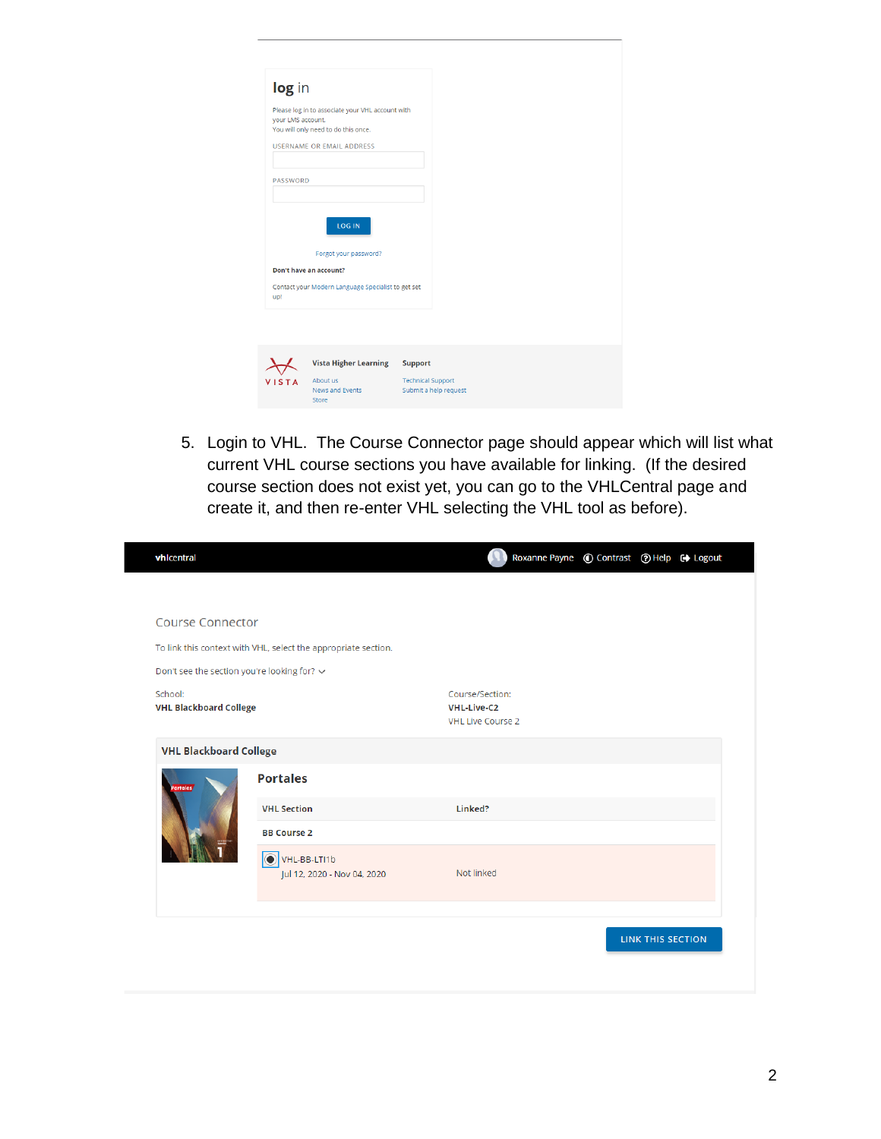| <b>USERNAME OR EMAIL ADDRESS</b><br>PASSWORD<br><b>LOG IN</b><br>Forgot your password?<br>Don't have an account? | log in<br>Please log in to associate your VHL account with<br>your LMS account.<br>You will only need to do this once.<br>Contact your Modern Language Specialist to get set<br>up! |              |                                      |                          |                       |
|------------------------------------------------------------------------------------------------------------------|-------------------------------------------------------------------------------------------------------------------------------------------------------------------------------------|--------------|--------------------------------------|--------------------------|-----------------------|
|                                                                                                                  |                                                                                                                                                                                     |              |                                      |                          |                       |
|                                                                                                                  |                                                                                                                                                                                     |              |                                      |                          |                       |
|                                                                                                                  |                                                                                                                                                                                     |              |                                      |                          |                       |
|                                                                                                                  |                                                                                                                                                                                     |              |                                      |                          |                       |
|                                                                                                                  |                                                                                                                                                                                     |              |                                      |                          |                       |
|                                                                                                                  |                                                                                                                                                                                     |              |                                      |                          |                       |
|                                                                                                                  |                                                                                                                                                                                     |              |                                      |                          |                       |
|                                                                                                                  |                                                                                                                                                                                     |              |                                      |                          |                       |
| <b>Vista Higher Learning</b><br><b>Support</b>                                                                   |                                                                                                                                                                                     | <b>VISTA</b> | About us<br>News and Events<br>Store | <b>Technical Support</b> | Submit a help request |

5. Login to VHL. The Course Connector page should appear which will list what current VHL course sections you have available for linking. (If the desired course section does not exist yet, you can go to the VHLCentral page and create it, and then re-enter VHL selecting the VHL tool as before).

| vhicentral                                  |                                                                | Roxanne Payne © Contrast © Help + Logout                          |                          |  |
|---------------------------------------------|----------------------------------------------------------------|-------------------------------------------------------------------|--------------------------|--|
|                                             |                                                                |                                                                   |                          |  |
| <b>Course Connector</b>                     |                                                                |                                                                   |                          |  |
|                                             | To link this context with VHL, select the appropriate section. |                                                                   |                          |  |
| Don't see the section you're looking for? ~ |                                                                |                                                                   |                          |  |
| School:<br><b>VHL Blackboard College</b>    |                                                                | Course/Section:<br><b>VHL-Live-C2</b><br><b>VHL Live Course 2</b> |                          |  |
| <b>VHL Blackboard College</b>               |                                                                |                                                                   |                          |  |
| <b>Portales</b>                             | <b>Portales</b>                                                |                                                                   |                          |  |
|                                             | <b>VHL Section</b>                                             | Linked?                                                           |                          |  |
|                                             | <b>BB Course 2</b>                                             |                                                                   |                          |  |
|                                             | O VHL-BB-LTI1b<br>Jul 12, 2020 - Nov 04, 2020                  | Not linked                                                        |                          |  |
|                                             |                                                                |                                                                   |                          |  |
|                                             |                                                                |                                                                   | <b>LINK THIS SECTION</b> |  |
|                                             |                                                                |                                                                   |                          |  |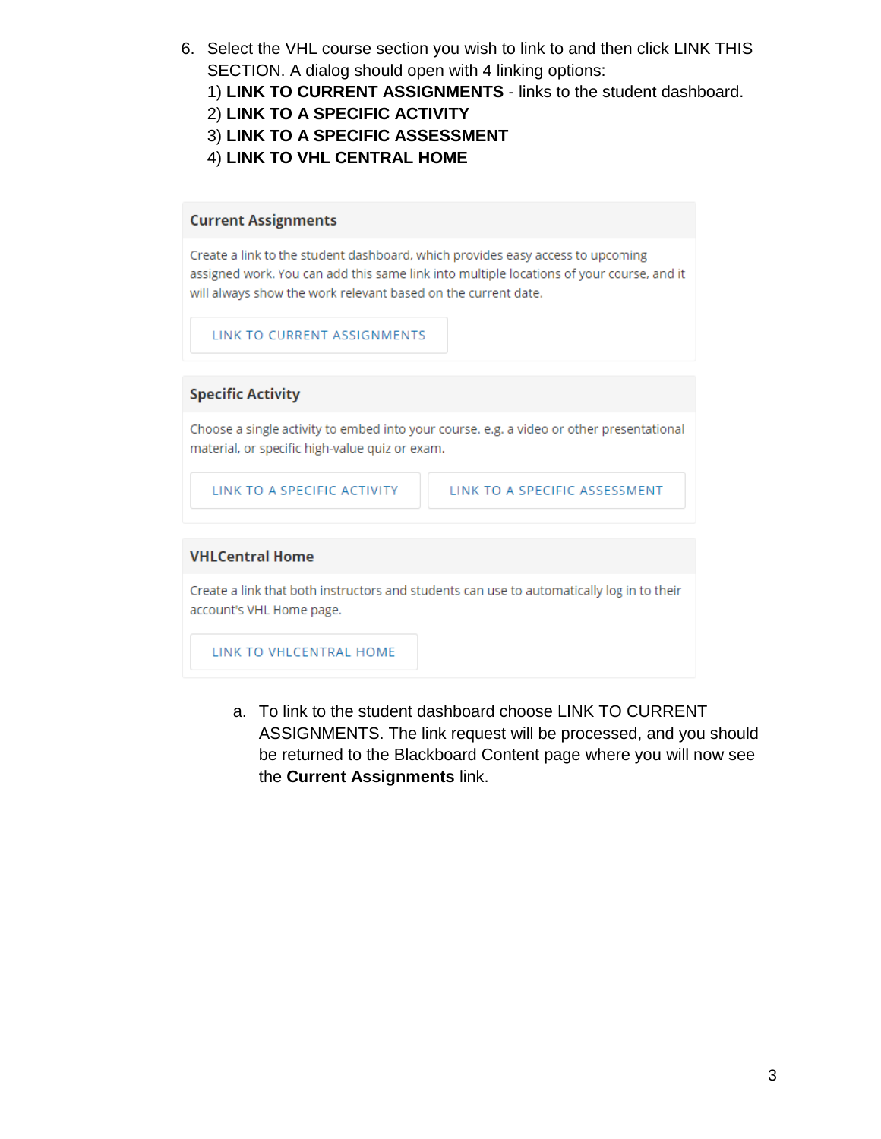- 6. Select the VHL course section you wish to link to and then click LINK THIS SECTION. A dialog should open with 4 linking options:
	- 1) **LINK TO CURRENT ASSIGNMENTS** links to the student dashboard.
	- 2) **LINK TO A SPECIFIC ACTIVITY**
	- 3) **LINK TO A SPECIFIC ASSESSMENT**
	- 4) **LINK TO VHL CENTRAL HOME**

#### **Current Assignments**

Create a link to the student dashboard, which provides easy access to upcoming assigned work. You can add this same link into multiple locations of your course, and it will always show the work relevant based on the current date.

LINK TO CURRENT ASSIGNMENTS

#### **Specific Activity**

Choose a single activity to embed into your course. e.g. a video or other presentational material, or specific high-value quiz or exam.

LINK TO A SPECIFIC ACTIVITY

LINK TO A SPECIFIC ASSESSMENT

### **VHLCentral Home**

Create a link that both instructors and students can use to automatically log in to their account's VHL Home page.

LINK TO VHLCENTRAL HOME

a. To link to the student dashboard choose LINK TO CURRENT ASSIGNMENTS. The link request will be processed, and you should be returned to the Blackboard Content page where you will now see the **Current Assignments** link.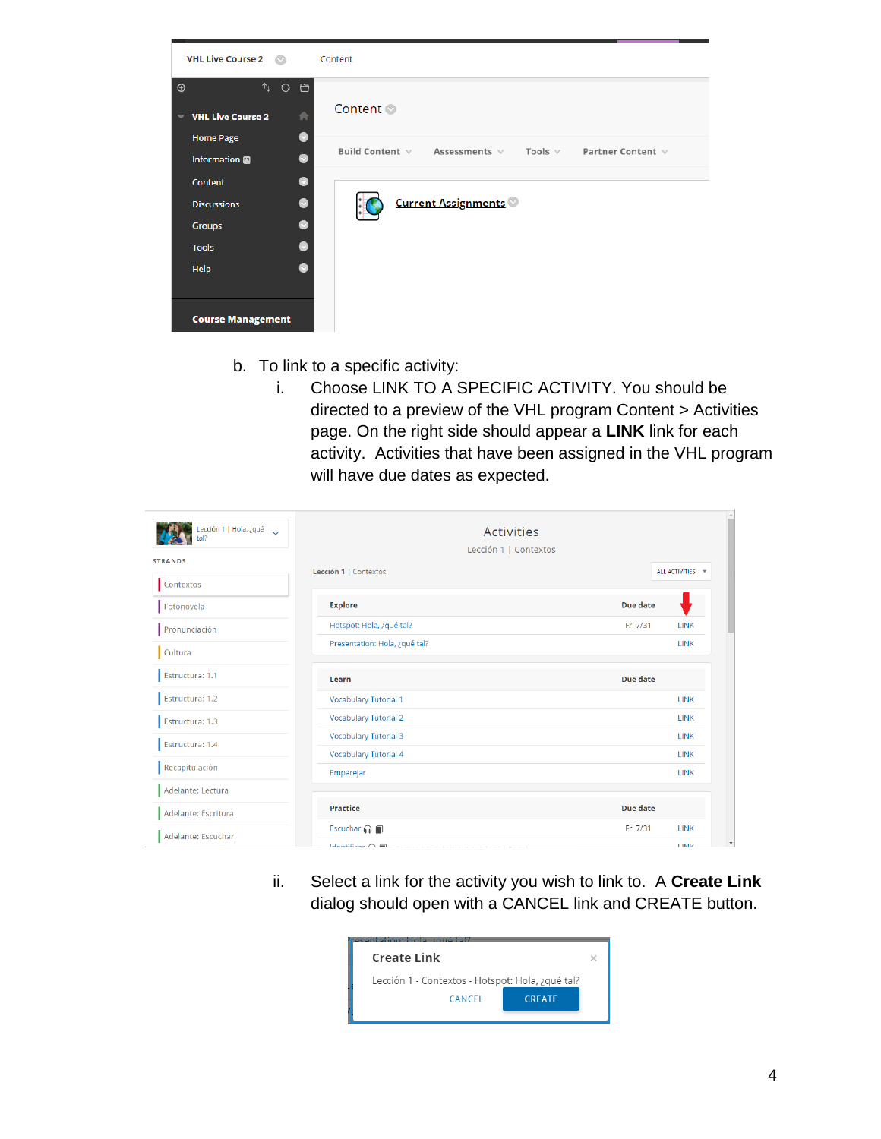

- b. To link to a specific activity:
	- i. Choose LINK TO A SPECIFIC ACTIVITY. You should be directed to a preview of the VHL program Content > Activities page. On the right side should appear a **LINK** link for each activity. Activities that have been assigned in the VHL program will have due dates as expected.

| Lección 1   Hola, ¿qué<br>tal? | <b>Activities</b>                          |                         |  |  |  |  |
|--------------------------------|--------------------------------------------|-------------------------|--|--|--|--|
|                                | Lección 1   Contextos                      |                         |  |  |  |  |
| <b>STRANDS</b>                 | Lección 1   Contextos                      | ALL ACTIVITIES -        |  |  |  |  |
| Contextos                      |                                            |                         |  |  |  |  |
| Fotonovela                     | <b>Explore</b>                             | Due date                |  |  |  |  |
| Pronunciación                  | Hotspot: Hola, ¿qué tal?                   | Fri 7/31<br><b>LINK</b> |  |  |  |  |
| Cultura                        | Presentation: Hola, ¿qué tal?              | <b>LINK</b>             |  |  |  |  |
| Estructura: 1.1                | Learn                                      | Due date                |  |  |  |  |
| Estructura: 1.2                | <b>Vocabulary Tutorial 1</b>               | <b>LINK</b>             |  |  |  |  |
| Estructura: 1.3                | <b>Vocabulary Tutorial 2</b>               | <b>LINK</b>             |  |  |  |  |
| Estructura: 1.4                | <b>Vocabulary Tutorial 3</b>               | <b>LINK</b>             |  |  |  |  |
|                                | <b>Vocabulary Tutorial 4</b>               | <b>LINK</b>             |  |  |  |  |
| Recapitulación                 | Emparejar                                  | <b>LINK</b>             |  |  |  |  |
| Adelante: Lectura              |                                            |                         |  |  |  |  |
| Adelante: Escritura            | <b>Practice</b>                            | Due date                |  |  |  |  |
| Adelante: Escuchar             | Escuchar $\bigcap$                         | Fri 7/31<br><b>LINK</b> |  |  |  |  |
|                                | $Id$ <sub>antifican</sub> $\bigcap$ $\Box$ | <b>LINTIZ</b>           |  |  |  |  |

ii. Select a link for the activity you wish to link to. A **Create Link** dialog should open with a CANCEL link and CREATE button.

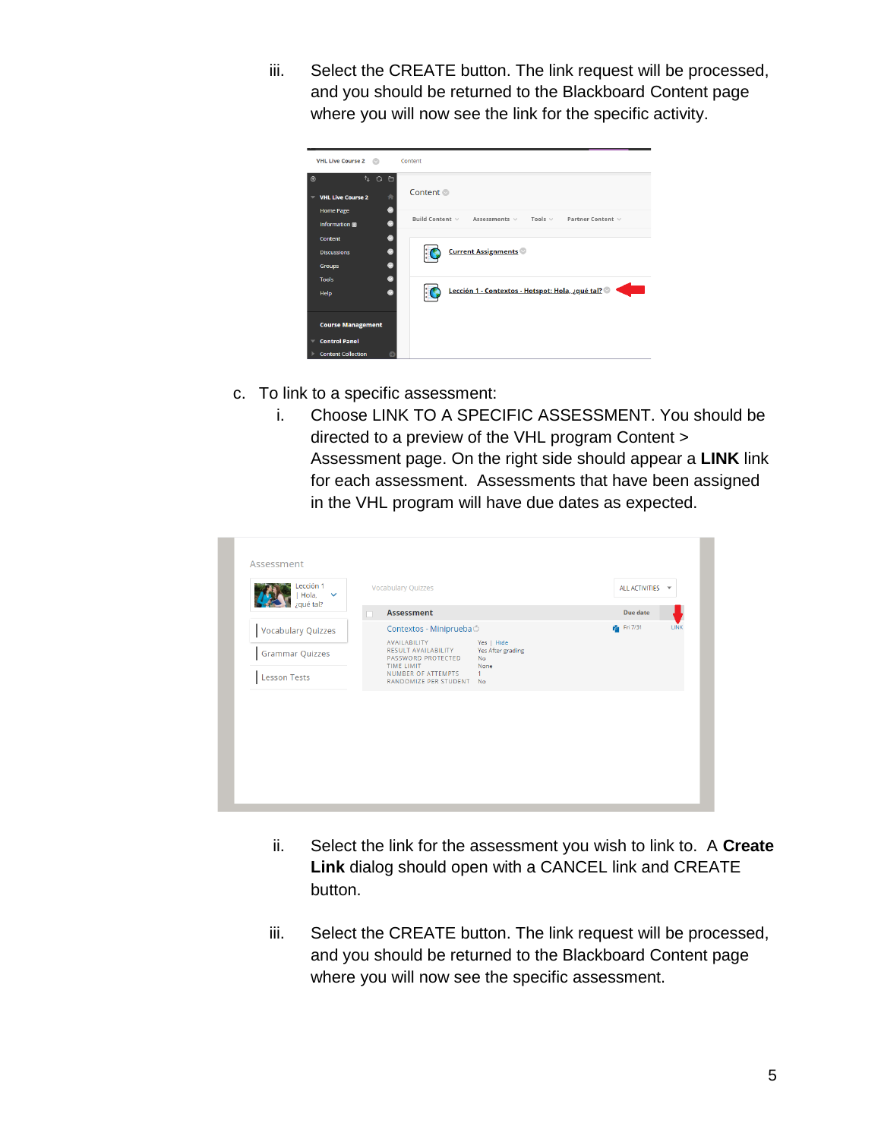iii. Select the CREATE button. The link request will be processed, and you should be returned to the Blackboard Content page where you will now see the link for the specific activity.

| <b>VHL Live Course 2</b><br>O.                                                               | Content                                                                 |
|----------------------------------------------------------------------------------------------|-------------------------------------------------------------------------|
| $T_{+}$ $Q$<br>$\odot$<br>O<br>青<br><b>VHL Live Course 2</b>                                 | Content <sup>®</sup>                                                    |
| ٠<br><b>Home Page</b><br>ø<br>Information                                                    | Build Content v<br>Assessments $\vee$ Tools $\vee$<br>Partner Content v |
| $\bullet$<br><b>Content</b><br>$\bullet$<br><b>Discussions</b><br>$\bullet$<br><b>Groups</b> | <b>Current Assignments</b>                                              |
| ۵<br><b>Tools</b><br>ø<br>Help                                                               | Lección 1 - Contextos - Hotspot: Hola, ¿qué tal?                        |
| <b>Course Management</b>                                                                     |                                                                         |
| <b>Control Panel</b>                                                                         |                                                                         |
| <b>Content Collection</b>                                                                    |                                                                         |

- c. To link to a specific assessment:
	- i. Choose LINK TO A SPECIFIC ASSESSMENT. You should be directed to a preview of the VHL program Content > Assessment page. On the right side should appear a **LINK** link for each assessment. Assessments that have been assigned in the VHL program will have due dates as expected.

| Lección 1<br>Hola,<br>$\sim$ | <b>Vocabulary Quizzes</b>                                               |                                                      | ALL ACTIVITIES ~ |             |
|------------------------------|-------------------------------------------------------------------------|------------------------------------------------------|------------------|-------------|
| ¿qué tal?                    | <b>Assessment</b>                                                       |                                                      | Due date         |             |
| Vocabulary Quizzes           | Contextos - Miniprueba Ó                                                |                                                      | Pa Fri 7/31      | <b>LINK</b> |
| <b>Grammar Quizzes</b>       | AVAILABILITY<br>RESULT AVAILABILITY<br>PASSWORD PROTECTED<br>TIME LIMIT | Yes   Hide<br>Yes After grading<br><b>No</b><br>None |                  |             |
| Lesson Tests                 | NUMBER OF ATTEMPTS<br>RANDOMIZE PER STUDENT No                          | 1                                                    |                  |             |
|                              |                                                                         |                                                      |                  |             |
|                              |                                                                         |                                                      |                  |             |
|                              |                                                                         |                                                      |                  |             |
|                              |                                                                         |                                                      |                  |             |

- ii. Select the link for the assessment you wish to link to. A **Create Link** dialog should open with a CANCEL link and CREATE button.
- iii. Select the CREATE button. The link request will be processed, and you should be returned to the Blackboard Content page where you will now see the specific assessment.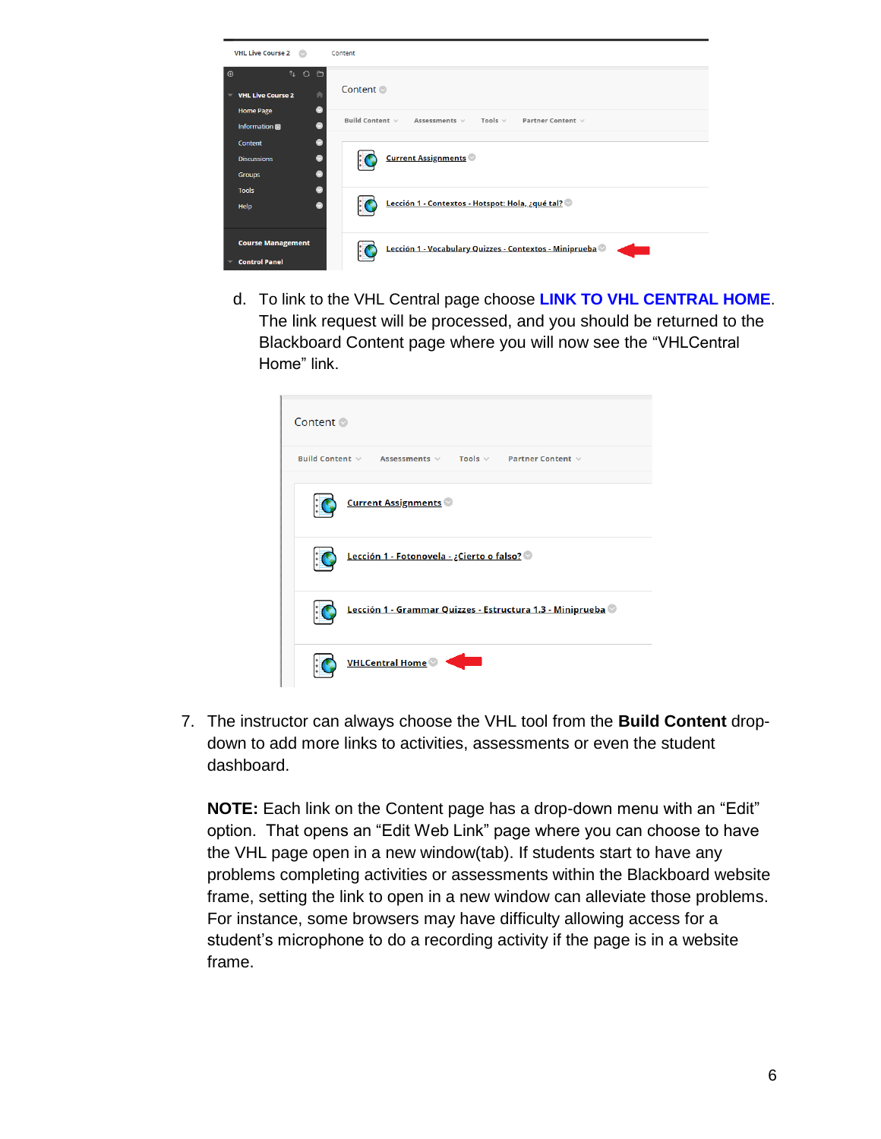

d. To link to the VHL Central page choose **LINK TO VHL CENTRAL HOME**. The link request will be processed, and you should be returned to the Blackboard Content page where you will now see the "VHLCentral Home" link.

| Content $\odot$                                                             |
|-----------------------------------------------------------------------------|
| Build Content $\vee$ Assessments $\vee$ Tools $\vee$ Partner Content $\vee$ |
| <b>Current Assignments</b>                                                  |
| Lección 1 - Fotonovela - ¿Cierto o falso?                                   |
| Lección 1 - Grammar Quizzes - Estructura 1.3 - Miniprueba ©                 |
| <b>VHLCentral Home</b>                                                      |

7. The instructor can always choose the VHL tool from the **Build Content** dropdown to add more links to activities, assessments or even the student dashboard.

**NOTE:** Each link on the Content page has a drop-down menu with an "Edit" option. That opens an "Edit Web Link" page where you can choose to have the VHL page open in a new window(tab). If students start to have any problems completing activities or assessments within the Blackboard website frame, setting the link to open in a new window can alleviate those problems. For instance, some browsers may have difficulty allowing access for a student's microphone to do a recording activity if the page is in a website frame.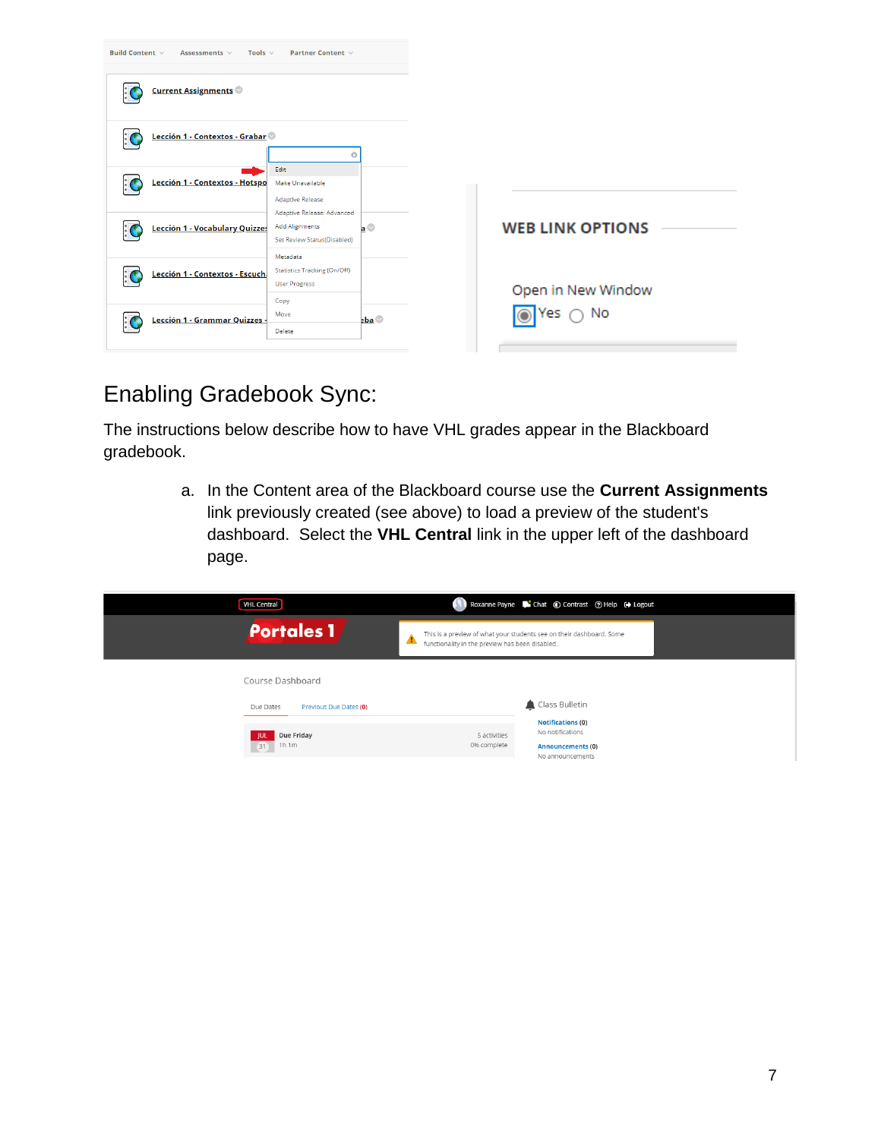| <b>Build Content <math>\vee</math></b><br>Tools $\vee$<br>Assessments v | Partner Content v                                                                  |                    |                         |
|-------------------------------------------------------------------------|------------------------------------------------------------------------------------|--------------------|-------------------------|
| <b>Current Assignments</b>                                              |                                                                                    |                    |                         |
| Lección 1 - Contextos - Grabar                                          | ര                                                                                  |                    |                         |
| Lección 1 - Contextos - Hotspo                                          | Edit<br>Make Unavailable<br><b>Adaptive Release</b>                                |                    |                         |
| Lección 1 - Vocabulary Quizzes                                          | Adaptive Release: Advanced<br><b>Add Alignments</b><br>Set Review Status(Disabled) | $a^{\circledcirc}$ | <b>WEB LINK OPTIONS</b> |
| Lección 1 - Contextos - Escuch                                          | Metadata<br>Statistics Tracking (On/Off)<br><b>User Progress</b><br>Copy           |                    | Open in New Window      |
| Lección 1 - Grammar Quizzes -                                           | Move<br>Delete                                                                     | $aba$              | No<br>IYes              |

## Enabling Gradebook Sync:

The instructions below describe how to have VHL grades appear in the Blackboard gradebook.

> a. In the Content area of the Blackboard course use the **Current Assignments** link previously created (see above) to load a preview of the student's dashboard. Select the **VHL Central** link in the upper left of the dashboard page.

| <b>VHL Central</b>                                      | Roxanne Payne Chat C Contrast 7 Help C Logout                                                                                |
|---------------------------------------------------------|------------------------------------------------------------------------------------------------------------------------------|
| <b>Portales 1</b>                                       | This is a preview of what your students see on their dashboard. Some<br>Α<br>functionality in the preview has been disabled. |
| Course Dashboard<br>Due Dates<br>Previous Due Dates (0) | Class Bulletin                                                                                                               |
| Due Friday<br>- IUL<br>1h 1m<br>31                      | <b>Notifications (0)</b><br>No notifications<br>5 activities<br>0% complete<br>Announcements (0)<br>No announcements         |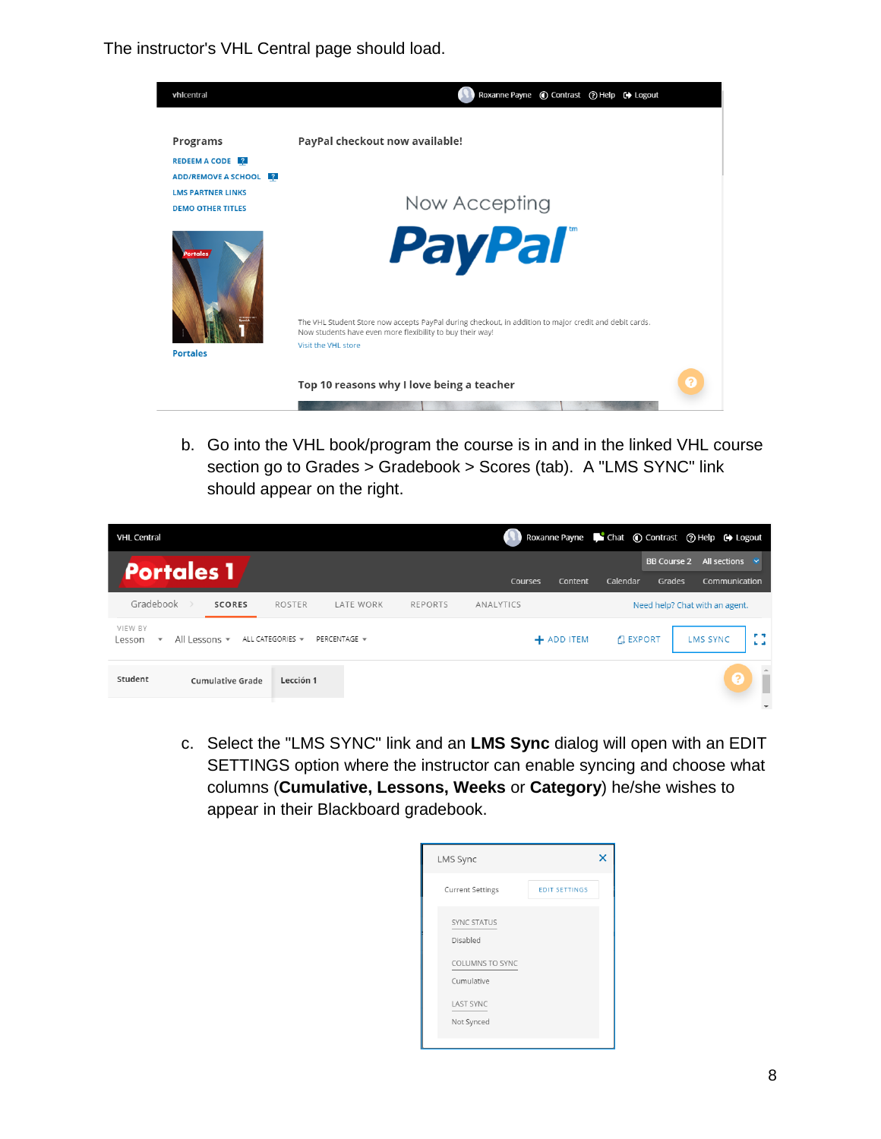The instructor's VHL Central page should load.



b. Go into the VHL book/program the course is in and in the linked VHL course section go to Grades > Gradebook > Scores (tab). A "LMS SYNC" link should appear on the right.

| <b>VHL Central</b>                            |                         |                                     |              |                |           |            | Roxanne Payne <b>C</b> Chat (C) Contrast (?) Help (C) Logout |                              |                                |                        |
|-----------------------------------------------|-------------------------|-------------------------------------|--------------|----------------|-----------|------------|--------------------------------------------------------------|------------------------------|--------------------------------|------------------------|
| <b>Portales 1</b>                             |                         |                                     |              |                | Courses   | Content    | Calendar                                                     | <b>BB Course 2</b><br>Grades | All sections<br>Communication  | $\sim$                 |
| Gradebook                                     | <b>SCORES</b>           | <b>ROSTER</b>                       | LATE WORK    | <b>REPORTS</b> | ANALYTICS |            |                                                              |                              | Need help? Chat with an agent. |                        |
| VIEW BY<br>Lesson<br>$\overline{\phantom{a}}$ | All Lessons v           | ALL CATEGORIES $\blacktriangledown$ | PERCENTAGE = |                |           | + ADD ITEM | <b>EXPORT</b>                                                |                              | <b>LMS SYNC</b>                | <b>P.S.</b><br>$L = 1$ |
| Student                                       | <b>Cumulative Grade</b> | Lección 1                           |              |                |           |            |                                                              |                              | €                              |                        |
|                                               |                         |                                     |              |                |           |            |                                                              |                              |                                |                        |

c. Select the "LMS SYNC" link and an **LMS Sync** dialog will open with an EDIT SETTINGS option where the instructor can enable syncing and choose what columns (**Cumulative, Lessons, Weeks** or **Category**) he/she wishes to appear in their Blackboard gradebook.

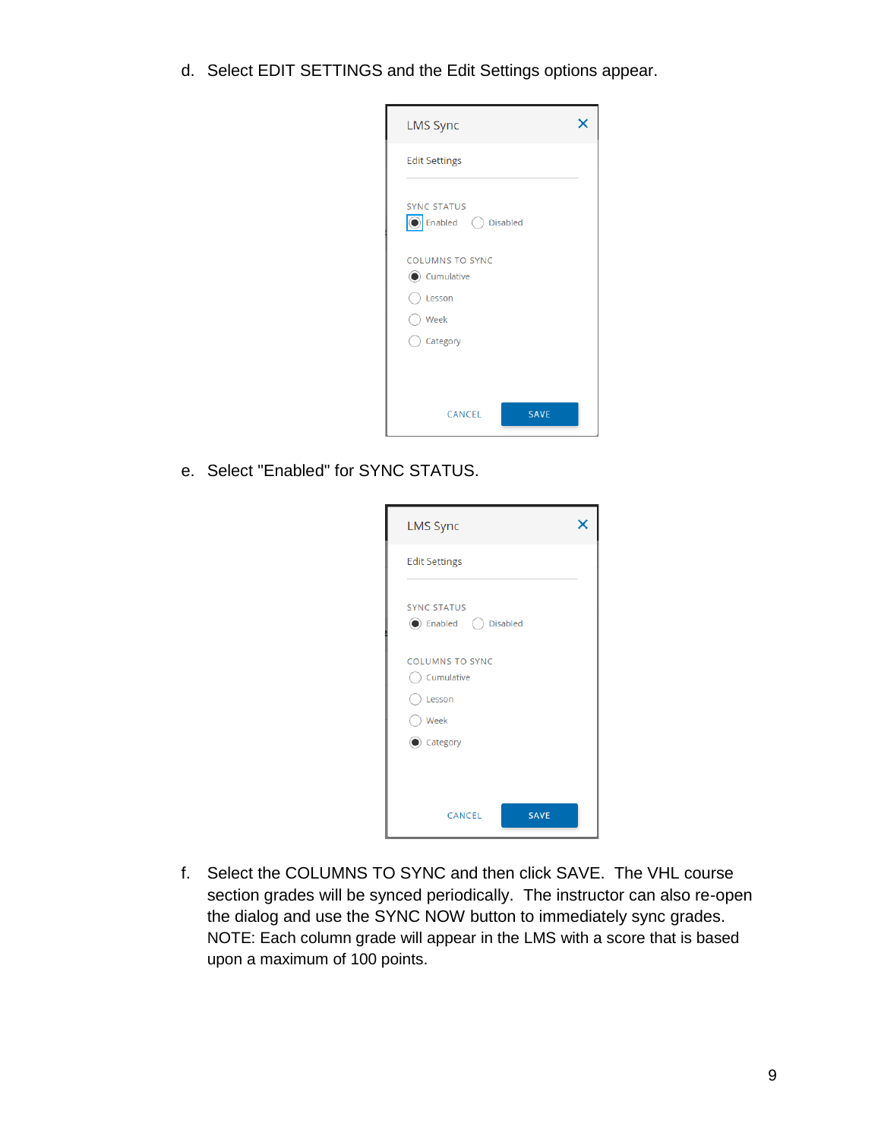d. Select EDIT SETTINGS and the Edit Settings options appear.



e. Select "Enabled" for SYNC STATUS.

| <b>LMS Sync</b>                                   |  |
|---------------------------------------------------|--|
| <b>Edit Settings</b>                              |  |
| <b>SYNC STATUS</b><br><b>●</b> Enabled ● Disabled |  |
| <b>COLUMNS TO SYNC</b><br>Cumulative<br>Lesson    |  |
| $\bigcirc$ Week<br>Category                       |  |
|                                                   |  |
| CANCEL<br><b>SAVE</b>                             |  |

f. Select the COLUMNS TO SYNC and then click SAVE. The VHL course section grades will be synced periodically. The instructor can also re-open the dialog and use the SYNC NOW button to immediately sync grades. NOTE: Each column grade will appear in the LMS with a score that is based upon a maximum of 100 points.